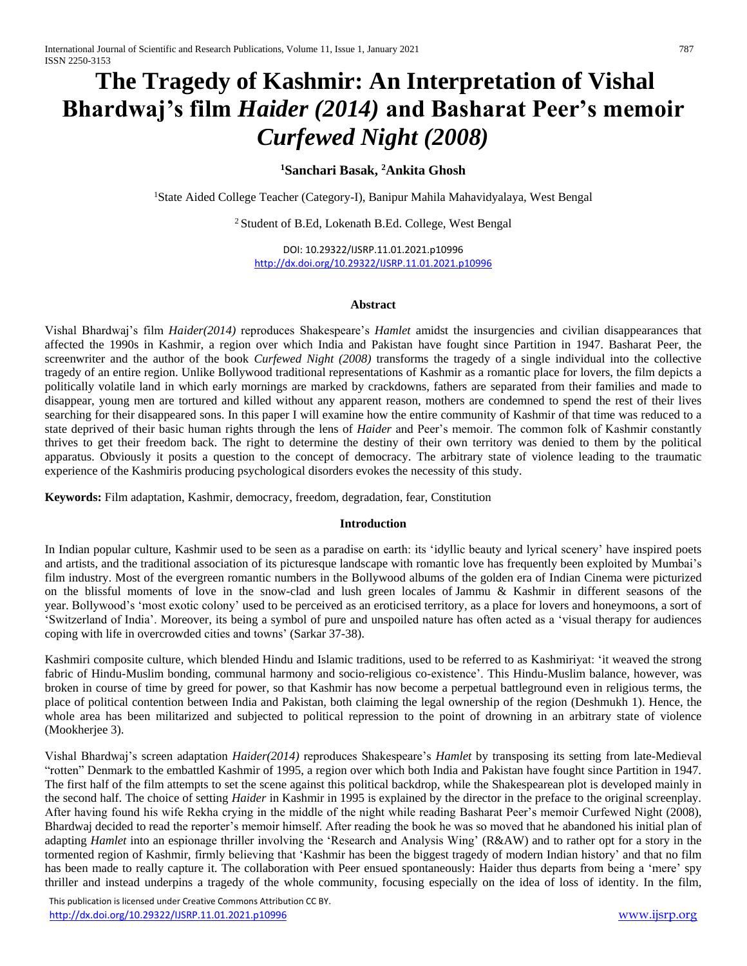# **The Tragedy of Kashmir: An Interpretation of Vishal Bhardwaj's film** *Haider (2014)* **and Basharat Peer's memoir**  *Curfewed Night (2008)*

## **<sup>1</sup>Sanchari Basak, <sup>2</sup>Ankita Ghosh**

<sup>1</sup>State Aided College Teacher (Category-I), Banipur Mahila Mahavidyalaya, West Bengal

<sup>2</sup> Student of B.Ed, Lokenath B.Ed. College, West Bengal

DOI: 10.29322/IJSRP.11.01.2021.p10996 <http://dx.doi.org/10.29322/IJSRP.11.01.2021.p10996>

### **Abstract**

Vishal Bhardwaj's film *Haider(2014)* reproduces Shakespeare's *Hamlet* amidst the insurgencies and civilian disappearances that affected the 1990s in Kashmir, a region over which India and Pakistan have fought since Partition in 1947. Basharat Peer, the screenwriter and the author of the book *Curfewed Night (2008)* transforms the tragedy of a single individual into the collective tragedy of an entire region. Unlike Bollywood traditional representations of Kashmir as a romantic place for lovers, the film depicts a politically volatile land in which early mornings are marked by crackdowns, fathers are separated from their families and made to disappear, young men are tortured and killed without any apparent reason, mothers are condemned to spend the rest of their lives searching for their disappeared sons. In this paper I will examine how the entire community of Kashmir of that time was reduced to a state deprived of their basic human rights through the lens of *Haider* and Peer's memoir. The common folk of Kashmir constantly thrives to get their freedom back. The right to determine the destiny of their own territory was denied to them by the political apparatus. Obviously it posits a question to the concept of democracy. The arbitrary state of violence leading to the traumatic experience of the Kashmiris producing psychological disorders evokes the necessity of this study.

**Keywords:** Film adaptation, Kashmir, democracy, freedom, degradation, fear, Constitution

## **Introduction**

In Indian popular culture, Kashmir used to be seen as a paradise on earth: its 'idyllic beauty and lyrical scenery' have inspired poets and artists, and the traditional association of its picturesque landscape with romantic love has frequently been exploited by Mumbai's film industry. Most of the evergreen romantic numbers in the Bollywood albums of the golden era of Indian Cinema were picturized on the blissful moments of love in the snow-clad and lush green locales of Jammu & Kashmir in different seasons of the year. Bollywood's 'most exotic colony' used to be perceived as an eroticised territory, as a place for lovers and honeymoons, a sort of 'Switzerland of India'. Moreover, its being a symbol of pure and unspoiled nature has often acted as a 'visual therapy for audiences coping with life in overcrowded cities and towns' (Sarkar 37-38).

Kashmiri composite culture, which blended Hindu and Islamic traditions, used to be referred to as Kashmiriyat: 'it weaved the strong fabric of Hindu-Muslim bonding, communal harmony and socio-religious co-existence'. This Hindu-Muslim balance, however, was broken in course of time by greed for power, so that Kashmir has now become a perpetual battleground even in religious terms, the place of political contention between India and Pakistan, both claiming the legal ownership of the region (Deshmukh 1). Hence, the whole area has been militarized and subjected to political repression to the point of drowning in an arbitrary state of violence (Mookherjee 3).

Vishal Bhardwaj's screen adaptation *Haider(2014)* reproduces Shakespeare's *Hamlet* by transposing its setting from late-Medieval "rotten" Denmark to the embattled Kashmir of 1995, a region over which both India and Pakistan have fought since Partition in 1947. The first half of the film attempts to set the scene against this political backdrop, while the Shakespearean plot is developed mainly in the second half. The choice of setting *Haider* in Kashmir in 1995 is explained by the director in the preface to the original screenplay. After having found his wife Rekha crying in the middle of the night while reading Basharat Peer's memoir Curfewed Night (2008), Bhardwaj decided to read the reporter's memoir himself. After reading the book he was so moved that he abandoned his initial plan of adapting *Hamlet* into an espionage thriller involving the 'Research and Analysis Wing' (R&AW) and to rather opt for a story in the tormented region of Kashmir, firmly believing that 'Kashmir has been the biggest tragedy of modern Indian history' and that no film has been made to really capture it. The collaboration with Peer ensued spontaneously: Haider thus departs from being a 'mere' spy thriller and instead underpins a tragedy of the whole community, focusing especially on the idea of loss of identity. In the film,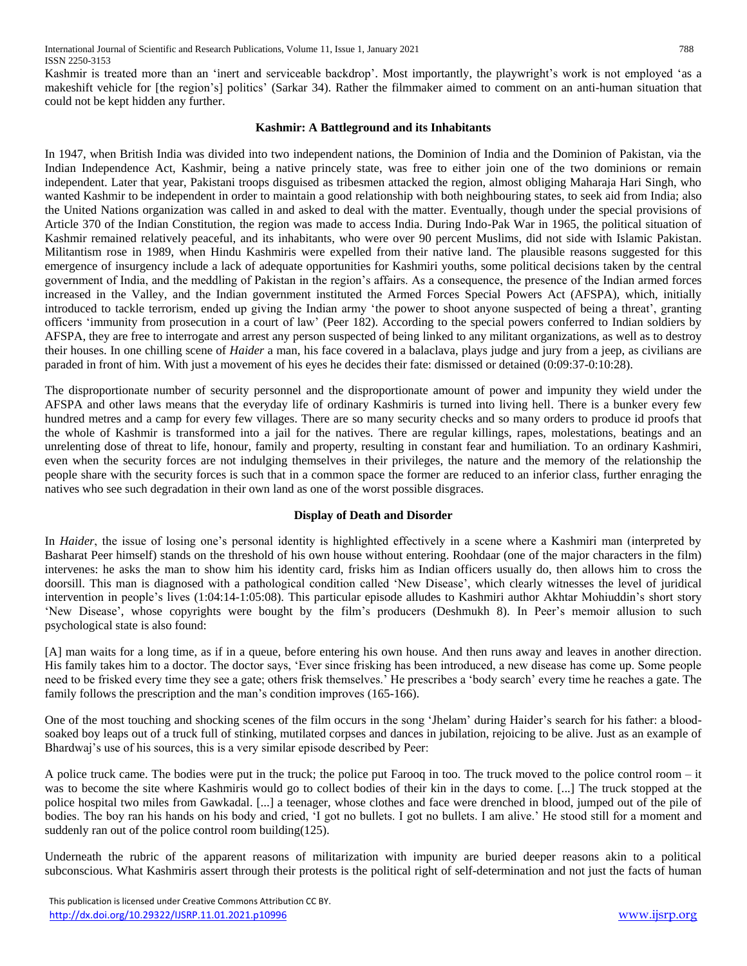Kashmir is treated more than an 'inert and serviceable backdrop'. Most importantly, the playwright's work is not employed 'as a makeshift vehicle for [the region's] politics' (Sarkar 34). Rather the filmmaker aimed to comment on an anti-human situation that could not be kept hidden any further.

## **Kashmir: A Battleground and its Inhabitants**

In 1947, when British India was divided into two independent nations, the Dominion of India and the Dominion of Pakistan, via the Indian Independence Act, Kashmir, being a native princely state, was free to either join one of the two dominions or remain independent. Later that year, Pakistani troops disguised as tribesmen attacked the region, almost obliging Maharaja Hari Singh, who wanted Kashmir to be independent in order to maintain a good relationship with both neighbouring states, to seek aid from India; also the United Nations organization was called in and asked to deal with the matter. Eventually, though under the special provisions of Article 370 of the Indian Constitution, the region was made to access India. During Indo-Pak War in 1965, the political situation of Kashmir remained relatively peaceful, and its inhabitants, who were over 90 percent Muslims, did not side with Islamic Pakistan. Militantism rose in 1989, when Hindu Kashmiris were expelled from their native land. The plausible reasons suggested for this emergence of insurgency include a lack of adequate opportunities for Kashmiri youths, some political decisions taken by the central government of India, and the meddling of Pakistan in the region's affairs. As a consequence, the presence of the Indian armed forces increased in the Valley, and the Indian government instituted the Armed Forces Special Powers Act (AFSPA), which, initially introduced to tackle terrorism, ended up giving the Indian army 'the power to shoot anyone suspected of being a threat', granting officers 'immunity from prosecution in a court of law' (Peer 182). According to the special powers conferred to Indian soldiers by AFSPA, they are free to interrogate and arrest any person suspected of being linked to any militant organizations, as well as to destroy their houses. In one chilling scene of *Haider* a man, his face covered in a balaclava, plays judge and jury from a jeep, as civilians are paraded in front of him. With just a movement of his eyes he decides their fate: dismissed or detained (0:09:37-0:10:28).

The disproportionate number of security personnel and the disproportionate amount of power and impunity they wield under the AFSPA and other laws means that the everyday life of ordinary Kashmiris is turned into living hell. There is a bunker every few hundred metres and a camp for every few villages. There are so many security checks and so many orders to produce id proofs that the whole of Kashmir is transformed into a jail for the natives. There are regular killings, rapes, molestations, beatings and an unrelenting dose of threat to life, honour, family and property, resulting in constant fear and humiliation. To an ordinary Kashmiri, even when the security forces are not indulging themselves in their privileges, the nature and the memory of the relationship the people share with the security forces is such that in a common space the former are reduced to an inferior class, further enraging the natives who see such degradation in their own land as one of the worst possible disgraces.

### **Display of Death and Disorder**

In *Haider*, the issue of losing one's personal identity is highlighted effectively in a scene where a Kashmiri man (interpreted by Basharat Peer himself) stands on the threshold of his own house without entering. Roohdaar (one of the major characters in the film) intervenes: he asks the man to show him his identity card, frisks him as Indian officers usually do, then allows him to cross the doorsill. This man is diagnosed with a pathological condition called 'New Disease', which clearly witnesses the level of juridical intervention in people's lives (1:04:14-1:05:08). This particular episode alludes to Kashmiri author Akhtar Mohiuddin's short story 'New Disease', whose copyrights were bought by the film's producers (Deshmukh 8). In Peer's memoir allusion to such psychological state is also found:

[A] man waits for a long time, as if in a queue, before entering his own house. And then runs away and leaves in another direction. His family takes him to a doctor. The doctor says, 'Ever since frisking has been introduced, a new disease has come up. Some people need to be frisked every time they see a gate; others frisk themselves.' He prescribes a 'body search' every time he reaches a gate. The family follows the prescription and the man's condition improves (165-166).

One of the most touching and shocking scenes of the film occurs in the song 'Jhelam' during Haider's search for his father: a bloodsoaked boy leaps out of a truck full of stinking, mutilated corpses and dances in jubilation, rejoicing to be alive. Just as an example of Bhardwaj's use of his sources, this is a very similar episode described by Peer:

A police truck came. The bodies were put in the truck; the police put Farooq in too. The truck moved to the police control room – it was to become the site where Kashmiris would go to collect bodies of their kin in the days to come. [...] The truck stopped at the police hospital two miles from Gawkadal. [...] a teenager, whose clothes and face were drenched in blood, jumped out of the pile of bodies. The boy ran his hands on his body and cried, 'I got no bullets. I got no bullets. I am alive.' He stood still for a moment and suddenly ran out of the police control room building(125).

Underneath the rubric of the apparent reasons of militarization with impunity are buried deeper reasons akin to a political subconscious. What Kashmiris assert through their protests is the political right of self-determination and not just the facts of human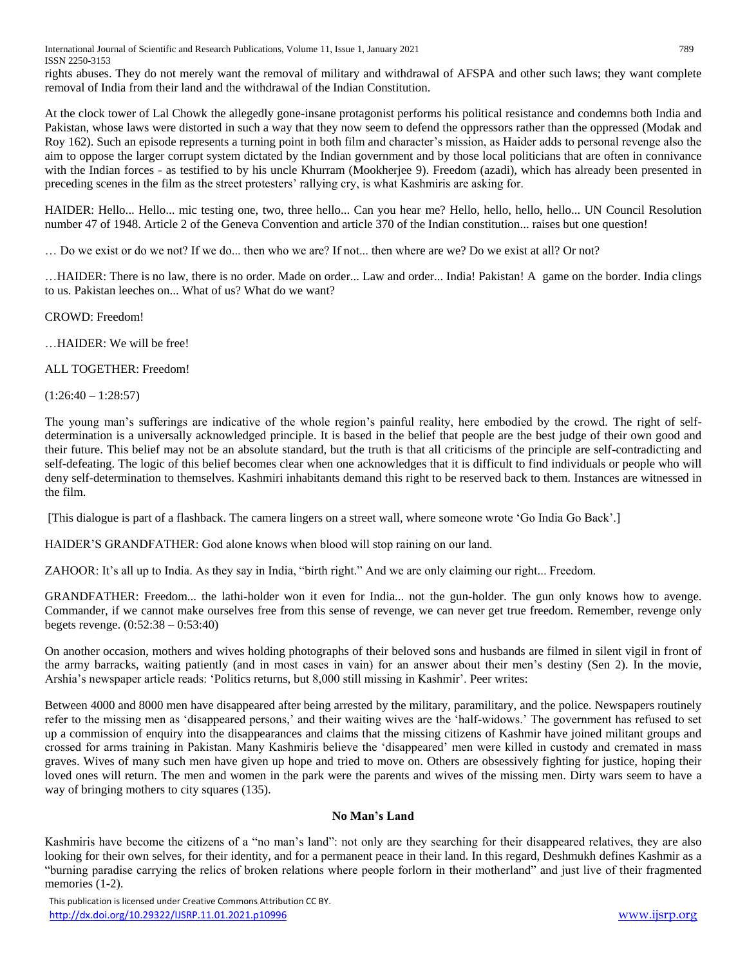International Journal of Scientific and Research Publications, Volume 11, Issue 1, January 2021 789 ISSN 2250-3153

rights abuses. They do not merely want the removal of military and withdrawal of AFSPA and other such laws; they want complete removal of India from their land and the withdrawal of the Indian Constitution.

At the clock tower of Lal Chowk the allegedly gone-insane protagonist performs his political resistance and condemns both India and Pakistan, whose laws were distorted in such a way that they now seem to defend the oppressors rather than the oppressed (Modak and Roy 162). Such an episode represents a turning point in both film and character's mission, as Haider adds to personal revenge also the aim to oppose the larger corrupt system dictated by the Indian government and by those local politicians that are often in connivance with the Indian forces - as testified to by his uncle Khurram (Mookherjee 9). Freedom (azadi), which has already been presented in preceding scenes in the film as the street protesters' rallying cry, is what Kashmiris are asking for.

HAIDER: Hello... Hello... mic testing one, two, three hello... Can you hear me? Hello, hello, hello, hello... UN Council Resolution number 47 of 1948. Article 2 of the Geneva Convention and article 370 of the Indian constitution... raises but one question!

… Do we exist or do we not? If we do... then who we are? If not... then where are we? Do we exist at all? Or not?

…HAIDER: There is no law, there is no order. Made on order... Law and order... India! Pakistan! A game on the border. India clings to us. Pakistan leeches on... What of us? What do we want?

CROWD: Freedom!

…HAIDER: We will be free!

ALL TOGETHER: Freedom!

 $(1:26:40 - 1:28:57)$ 

The young man's sufferings are indicative of the whole region's painful reality, here embodied by the crowd. The right of selfdetermination is a universally acknowledged principle. It is based in the belief that people are the best judge of their own good and their future. This belief may not be an absolute standard, but the truth is that all criticisms of the principle are self-contradicting and self-defeating. The logic of this belief becomes clear when one acknowledges that it is difficult to find individuals or people who will deny self-determination to themselves. Kashmiri inhabitants demand this right to be reserved back to them. Instances are witnessed in the film.

[This dialogue is part of a flashback. The camera lingers on a street wall, where someone wrote 'Go India Go Back'.]

HAIDER'S GRANDFATHER: God alone knows when blood will stop raining on our land.

ZAHOOR: It's all up to India. As they say in India, "birth right." And we are only claiming our right... Freedom.

GRANDFATHER: Freedom... the lathi-holder won it even for India... not the gun-holder. The gun only knows how to avenge. Commander, if we cannot make ourselves free from this sense of revenge, we can never get true freedom. Remember, revenge only begets revenge. (0:52:38 – 0:53:40)

On another occasion, mothers and wives holding photographs of their beloved sons and husbands are filmed in silent vigil in front of the army barracks, waiting patiently (and in most cases in vain) for an answer about their men's destiny (Sen 2). In the movie, Arshia's newspaper article reads: 'Politics returns, but 8,000 still missing in Kashmir'. Peer writes:

Between 4000 and 8000 men have disappeared after being arrested by the military, paramilitary, and the police. Newspapers routinely refer to the missing men as 'disappeared persons,' and their waiting wives are the 'half-widows.' The government has refused to set up a commission of enquiry into the disappearances and claims that the missing citizens of Kashmir have joined militant groups and crossed for arms training in Pakistan. Many Kashmiris believe the 'disappeared' men were killed in custody and cremated in mass graves. Wives of many such men have given up hope and tried to move on. Others are obsessively fighting for justice, hoping their loved ones will return. The men and women in the park were the parents and wives of the missing men. Dirty wars seem to have a way of bringing mothers to city squares (135).

## **No Man's Land**

Kashmiris have become the citizens of a "no man's land": not only are they searching for their disappeared relatives, they are also looking for their own selves, for their identity, and for a permanent peace in their land. In this regard, Deshmukh defines Kashmir as a "burning paradise carrying the relics of broken relations where people forlorn in their motherland" and just live of their fragmented memories  $(1-2)$ .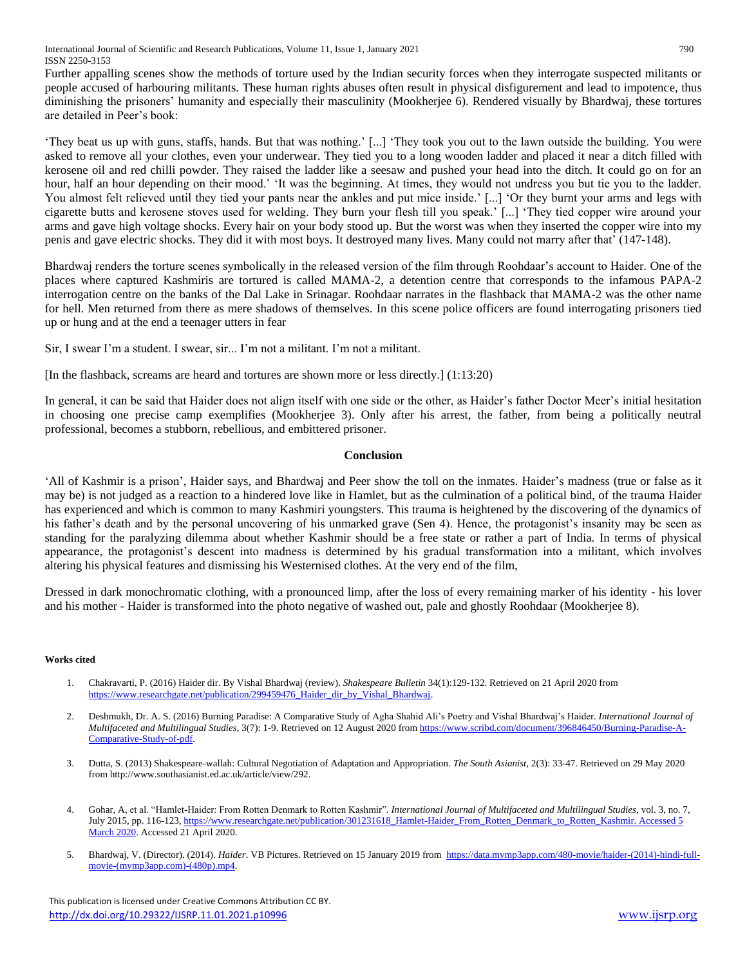International Journal of Scientific and Research Publications, Volume 11, Issue 1, January 2021 790 ISSN 2250-3153

Further appalling scenes show the methods of torture used by the Indian security forces when they interrogate suspected militants or people accused of harbouring militants. These human rights abuses often result in physical disfigurement and lead to impotence, thus diminishing the prisoners' humanity and especially their masculinity (Mookherjee 6). Rendered visually by Bhardwaj, these tortures are detailed in Peer's book:

'They beat us up with guns, staffs, hands. But that was nothing.' [...] 'They took you out to the lawn outside the building. You were asked to remove all your clothes, even your underwear. They tied you to a long wooden ladder and placed it near a ditch filled with kerosene oil and red chilli powder. They raised the ladder like a seesaw and pushed your head into the ditch. It could go on for an hour, half an hour depending on their mood.' 'It was the beginning. At times, they would not undress you but tie you to the ladder. You almost felt relieved until they tied your pants near the ankles and put mice inside.' [...] 'Or they burnt your arms and legs with cigarette butts and kerosene stoves used for welding. They burn your flesh till you speak.' [...] 'They tied copper wire around your arms and gave high voltage shocks. Every hair on your body stood up. But the worst was when they inserted the copper wire into my penis and gave electric shocks. They did it with most boys. It destroyed many lives. Many could not marry after that' (147-148).

Bhardwaj renders the torture scenes symbolically in the released version of the film through Roohdaar's account to Haider. One of the places where captured Kashmiris are tortured is called MAMA-2, a detention centre that corresponds to the infamous PAPA-2 interrogation centre on the banks of the Dal Lake in Srinagar. Roohdaar narrates in the flashback that MAMA-2 was the other name for hell. Men returned from there as mere shadows of themselves. In this scene police officers are found interrogating prisoners tied up or hung and at the end a teenager utters in fear

Sir, I swear I'm a student. I swear, sir... I'm not a militant. I'm not a militant.

[In the flashback, screams are heard and tortures are shown more or less directly.] (1:13:20)

In general, it can be said that Haider does not align itself with one side or the other, as Haider's father Doctor Meer's initial hesitation in choosing one precise camp exemplifies (Mookherjee 3). Only after his arrest, the father, from being a politically neutral professional, becomes a stubborn, rebellious, and embittered prisoner.

### **Conclusion**

'All of Kashmir is a prison', Haider says, and Bhardwaj and Peer show the toll on the inmates. Haider's madness (true or false as it may be) is not judged as a reaction to a hindered love like in Hamlet, but as the culmination of a political bind, of the trauma Haider has experienced and which is common to many Kashmiri youngsters. This trauma is heightened by the discovering of the dynamics of his father's death and by the personal uncovering of his unmarked grave (Sen 4). Hence, the protagonist's insanity may be seen as standing for the paralyzing dilemma about whether Kashmir should be a free state or rather a part of India. In terms of physical appearance, the protagonist's descent into madness is determined by his gradual transformation into a militant, which involves altering his physical features and dismissing his Westernised clothes. At the very end of the film,

Dressed in dark monochromatic clothing, with a pronounced limp, after the loss of every remaining marker of his identity - his lover and his mother - Haider is transformed into the photo negative of washed out, pale and ghostly Roohdaar (Mookherjee 8).

#### **Works cited**

- 1. Chakravarti, P. (2016) Haider dir. By Vishal Bhardwaj (review). *Shakespeare Bulletin* 34(1):129-132. Retrieved on 21 April 2020 from https://www.researchgate.net/publication/299459476\_Haider\_dir\_by\_Vishal\_Bhardwai.
- 2. Deshmukh, Dr. A. S. (2016) Burning Paradise: A Comparative Study of Agha Shahid Ali's Poetry and Vishal Bhardwaj's Haider. *International Journal of Multifaceted and Multilingual Studies*, 3(7): 1-9. Retrieved on 12 August 2020 fro[m https://www.scribd.com/document/396846450/Burning-Paradise-A-](https://www.scribd.com/document/396846450/Burning-Paradise-A-Comparative-Study-of-pdf)[Comparative-Study-of-pdf.](https://www.scribd.com/document/396846450/Burning-Paradise-A-Comparative-Study-of-pdf)
- 3. Dutta, S. (2013) Shakespeare-wallah: Cultural Negotiation of Adaptation and Appropriation. *The South Asianist*, 2(3): 33-47. Retrieved on 29 May 2020 from http://www.southasianist.ed.ac.uk/article/view/292.
- 4. Gohar, A, et al. "Hamlet-Haider: From Rotten Denmark to Rotten Kashmir". *International Journal of Multifaceted and Multilingual Studies*, vol. 3, no. 7, July 2015, pp. 116-123[, https://www.researchgate.net/publication/301231618\\_Hamlet-Haider\\_From\\_Rotten\\_Denmark\\_to\\_Rotten\\_Kashmir. Accessed 5](https://www.researchgate.net/publication/301231618_Hamlet-Haider_From_Rotten_Denmark_to_Rotten_Kashmir.%20Accessed%205%20March%202020)  [March 2020.](https://www.researchgate.net/publication/301231618_Hamlet-Haider_From_Rotten_Denmark_to_Rotten_Kashmir.%20Accessed%205%20March%202020) Accessed 21 April 2020.
- 5. Bhardwaj, V. (Director). (2014). *Haider*. VB Pictures. Retrieved on 15 January 2019 from [https://data.mymp3app.com/480-movie/haider-\(2014\)-hindi-full](https://data.mymp3app.com/480-movie/haider-(2014)-hindi-full-movie-(mymp3app.com)-(480p).mp4)[movie-\(mymp3app.com\)-\(480p\).mp4.](https://data.mymp3app.com/480-movie/haider-(2014)-hindi-full-movie-(mymp3app.com)-(480p).mp4)

 This publication is licensed under Creative Commons Attribution CC BY. <http://dx.doi.org/10.29322/IJSRP.11.01.2021.p10996> [www.ijsrp.org](http://ijsrp.org/)